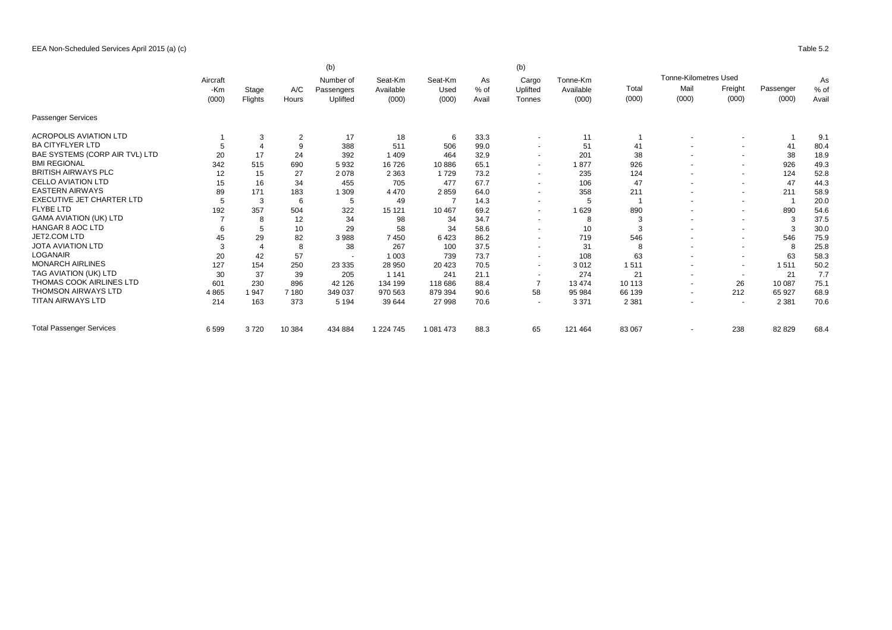EEA Non-Scheduled Services April 2015 (a) (c) Table 5.2

|                                  |              |       | (b)<br>(b)     |                         |                      |                 |              |                          |                       |         |                              |                          |           |              |       |  |
|----------------------------------|--------------|-------|----------------|-------------------------|----------------------|-----------------|--------------|--------------------------|-----------------------|---------|------------------------------|--------------------------|-----------|--------------|-------|--|
|                                  | Aircraft     |       |                | Number of<br>Passengers | Seat-Km<br>Available | Seat-Km<br>Used | As<br>$%$ of | Cargo<br>Uplifted        | Tonne-Km<br>Available |         | <b>Tonne-Kilometres Used</b> |                          |           | As<br>$%$ of |       |  |
|                                  | -Km<br>(000) | Stage | A/C            |                         |                      |                 |              |                          |                       | Total   | Mail                         | Freight                  | Passenger |              |       |  |
|                                  |              |       | Flights        | Hours                   | Uplifted             | (000)           | (000)        | Avail                    | Tonnes                | (000)   | (000)                        | (000)                    | (000)     | (000)        | Avail |  |
| Passenger Services               |              |       |                |                         |                      |                 |              |                          |                       |         |                              |                          |           |              |       |  |
| <b>ACROPOLIS AVIATION LTD</b>    |              | 3     | $\overline{2}$ | 17                      | 18                   | 6               | 33.3         | $\overline{\phantom{a}}$ | 11                    |         |                              | ٠                        |           | 9.1          |       |  |
| <b>BA CITYFLYER LTD</b>          |              |       | g              | 388                     | 511                  | 506             | 99.0         | $\overline{\phantom{a}}$ | 51                    | 41      |                              | $\overline{\phantom{a}}$ | 41        | 80.4         |       |  |
| BAE SYSTEMS (CORP AIR TVL) LTD   | 20           | 17    | 24             | 392                     | 1 4 0 9              | 464             | 32.9         | $\overline{\phantom{a}}$ | 201                   | 38      |                              | $\overline{\phantom{a}}$ | 38        | 18.9         |       |  |
| <b>BMI REGIONAL</b>              | 342          | 515   | 690            | 5932                    | 16726                | 10886           | 65.1         | $\overline{a}$           | 1877                  | 926     |                              | $\sim$                   | 926       | 49.3         |       |  |
| <b>BRITISH AIRWAYS PLC</b>       | 12           | 15    | 27             | 2078                    | 2 3 6 3              | 1729            | 73.2         | $\overline{\phantom{a}}$ | 235                   | 124     | $\overline{\phantom{a}}$     | $\overline{\phantom{a}}$ | 124       | 52.8         |       |  |
| <b>CELLO AVIATION LTD</b>        | 15           | 16    | 34             | 455                     | 705                  | 477             | 67.7         | $\tilde{\phantom{a}}$    | 106                   | 47      | $\overline{\phantom{a}}$     | $\sim$                   | 47        | 44.3         |       |  |
| <b>EASTERN AIRWAYS</b>           | 89           | 171   | 183            | 1 309                   | 4 4 7 0              | 2859            | 64.0         | $\overline{\phantom{a}}$ | 358                   | 211     |                              | $\overline{\phantom{a}}$ | 211       | 58.9         |       |  |
| <b>EXECUTIVE JET CHARTER LTD</b> |              | 3     | 6              | 5                       | 49                   |                 | 14.3         | $\overline{\phantom{a}}$ | 5                     |         | $\overline{\phantom{a}}$     | $\overline{\phantom{a}}$ |           | 20.0         |       |  |
| <b>FLYBE LTD</b>                 | 192          | 357   | 504            | 322                     | 15 121               | 10 467          | 69.2         | $\overline{\phantom{a}}$ | 629                   | 890     |                              | $\overline{\phantom{a}}$ | 890       | 54.6         |       |  |
| <b>GAMA AVIATION (UK) LTD</b>    |              | 8     | 12             | 34                      | 98                   | 34              | 34.7         | $\overline{\phantom{a}}$ | 8                     | 3       | $\overline{\phantom{a}}$     | $\overline{\phantom{a}}$ | 3         | 37.5         |       |  |
| <b>HANGAR 8 AOC LTD</b>          |              | 5     | 10             | 29                      | 58                   | 34              | 58.6         | $\overline{\phantom{a}}$ | 10                    | 3       |                              | $\overline{\phantom{a}}$ | 3         | 30.0         |       |  |
| JET2.COM LTD                     | 45           | 29    | 82             | 3988                    | 7450                 | 6423            | 86.2         | $\overline{\phantom{a}}$ | 719                   | 546     | $\overline{\phantom{a}}$     | $\overline{\phantom{a}}$ | 546       | 75.9         |       |  |
| <b>JOTA AVIATION LTD</b>         |              |       | 8              | 38                      | 267                  | 100             | 37.5         | $\overline{\phantom{a}}$ | 31                    |         | $\overline{\phantom{a}}$     | $\overline{\phantom{a}}$ | 8         | 25.8         |       |  |
| <b>LOGANAIR</b>                  | 20           | 42    | 57             |                         | 1 0 0 3              | 739             | 73.7         | $\overline{\phantom{a}}$ | 108                   | 63      |                              | $\overline{\phantom{a}}$ | 63        | 58.3         |       |  |
| <b>MONARCH AIRLINES</b>          | 127          | 154   | 250            | 23 3 35                 | 28 950               | 20 4 23         | 70.5         | $\overline{\phantom{a}}$ | 3012                  | 1511    | $\overline{\phantom{a}}$     | $\overline{\phantom{a}}$ | 1511      | 50.2         |       |  |
| TAG AVIATION (UK) LTD            | 30           | 37    | 39             | 205                     | 1 1 4 1              | 241             | 21.1         | $\overline{\phantom{a}}$ | 274                   | 21      | $\overline{\phantom{a}}$     | $\overline{\phantom{a}}$ | 21        | 7.7          |       |  |
| THOMAS COOK AIRLINES LTD         | 601          | 230   | 896            | 42 126                  | 134 199              | 118 686         | 88.4         |                          | 13 4 74               | 10 113  | $\overline{a}$               | 26                       | 10 087    | 75.1         |       |  |
| <b>THOMSON AIRWAYS LTD</b>       | 4865         | 1947  | 7 180          | 349 037                 | 970 563              | 879 394         | 90.6         | 58                       | 95 984                | 66 139  | $\tilde{\phantom{a}}$        | 212                      | 65 927    | 68.9         |       |  |
| <b>TITAN AIRWAYS LTD</b>         | 214          | 163   | 373            | 5 1 9 4                 | 39 644               | 27 998          | 70.6         | $\overline{\phantom{a}}$ | 3 3 7 1               | 2 3 8 1 | $\overline{\phantom{a}}$     | $\overline{\phantom{a}}$ | 2 3 8 1   | 70.6         |       |  |
| <b>Total Passenger Services</b>  | 6599         | 3720  | 10 384         | 434 884                 | 1 224 745            | 1 081 473       | 88.3         | 65                       | 121 464               | 83 067  | $\tilde{\phantom{a}}$        | 238                      | 82 829    | 68.4         |       |  |